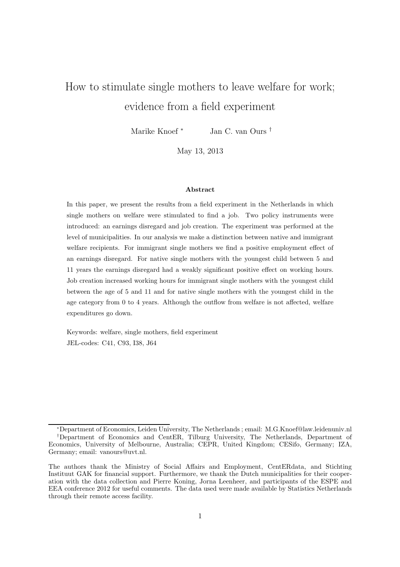# How to stimulate single mothers to leave welfare for work; evidence from a field experiment

Marike Knoef <sup>∗</sup> Jan C. van Ours †

May 13, 2013

#### Abstract

In this paper, we present the results from a field experiment in the Netherlands in which single mothers on welfare were stimulated to find a job. Two policy instruments were introduced: an earnings disregard and job creation. The experiment was performed at the level of municipalities. In our analysis we make a distinction between native and immigrant welfare recipients. For immigrant single mothers we find a positive employment effect of an earnings disregard. For native single mothers with the youngest child between 5 and 11 years the earnings disregard had a weakly significant positive effect on working hours. Job creation increased working hours for immigrant single mothers with the youngest child between the age of 5 and 11 and for native single mothers with the youngest child in the age category from 0 to 4 years. Although the outflow from welfare is not affected, welfare expenditures go down.

Keywords: welfare, single mothers, field experiment JEL-codes: C41, C93, I38, J64

<sup>∗</sup>Department of Economics, Leiden University, The Netherlands ; email: M.G.Knoef@law.leidenuniv.nl †Department of Economics and CentER, Tilburg University, The Netherlands, Department of Economics, University of Melbourne, Australia; CEPR, United Kingdom; CESifo, Germany; IZA, Germany; email: vanours@uvt.nl.

The authors thank the Ministry of Social Affairs and Employment, CentERdata, and Stichting Instituut GAK for financial support. Furthermore, we thank the Dutch municipalities for their cooperation with the data collection and Pierre Koning, Jorna Leenheer, and participants of the ESPE and EEA conference 2012 for useful comments. The data used were made available by Statistics Netherlands through their remote access facility.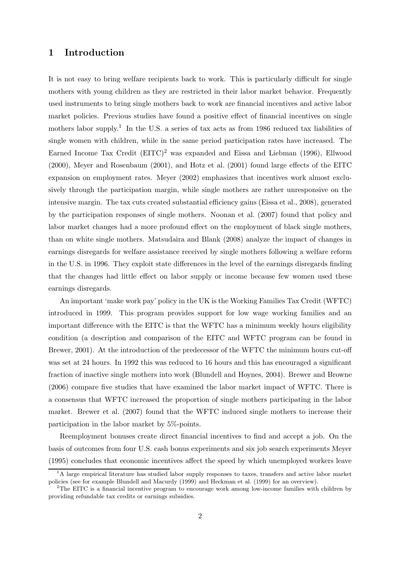## 1 Introduction

It is not easy to bring welfare recipients back to work. This is particularly difficult for single mothers with young children as they are restricted in their labor market behavior. Frequently used instruments to bring single mothers back to work are financial incentives and active labor market policies. Previous studies have found a positive effect of financial incentives on single mothers labor supply.<sup>1</sup> In the U.S. a series of tax acts as from 1986 reduced tax liabilities of single women with children, while in the same period participation rates have increased. The Earned Income Tax Credit  $(EITC)^2$  was expanded and Eissa and Liebman (1996), Ellwood (2000), Meyer and Rosenbaum (2001), and Hotz et al. (2001) found large effects of the EITC expansion on employment rates. Meyer (2002) emphasizes that incentives work almost exclusively through the participation margin, while single mothers are rather unresponsive on the intensive margin. The tax cuts created substantial efficiency gains (Eissa et al., 2008), generated by the participation responses of single mothers. Noonan et al. (2007) found that policy and labor market changes had a more profound effect on the employment of black single mothers, than on white single mothers. Matsudaira and Blank (2008) analyze the impact of changes in earnings disregards for welfare assistance received by single mothers following a welfare reform in the U.S. in 1996. They exploit state differences in the level of the earnings disregards finding that the changes had little effect on labor supply or income because few women used these earnings disregards.

An important 'make work pay' policy in the UK is the Working Families Tax Credit (WFTC) introduced in 1999. This program provides support for low wage working families and an important difference with the EITC is that the WFTC has a minimum weekly hours eligibility condition (a description and comparison of the EITC and WFTC program can be found in Brewer, 2001). At the introduction of the predecessor of the WFTC the minimum hours cut-off was set at 24 hours. In 1992 this was reduced to 16 hours and this has encouraged a significant fraction of inactive single mothers into work (Blundell and Hoynes, 2004). Brewer and Browne (2006) compare five studies that have examined the labor market impact of WFTC. There is a consensus that WFTC increased the proportion of single mothers participating in the labor market. Brewer et al. (2007) found that the WFTC induced single mothers to increase their participation in the labor market by 5%-points.

Reemployment bonuses create direct financial incentives to find and accept a job. On the basis of outcomes from four U.S. cash bonus experiments and six job search experiments Meyer (1995) concludes that economic incentives affect the speed by which unemployed workers leave

<sup>&</sup>lt;sup>1</sup>A large empirical literature has studied labor supply responses to taxes, transfers and active labor market policies (see for example Blundell and Macurdy (1999) and Heckman et al. (1999) for an overview).

<sup>&</sup>lt;sup>2</sup>The EITC is a financial incentive program to encourage work among low-income families with children by providing refundable tax credits or earnings subsidies.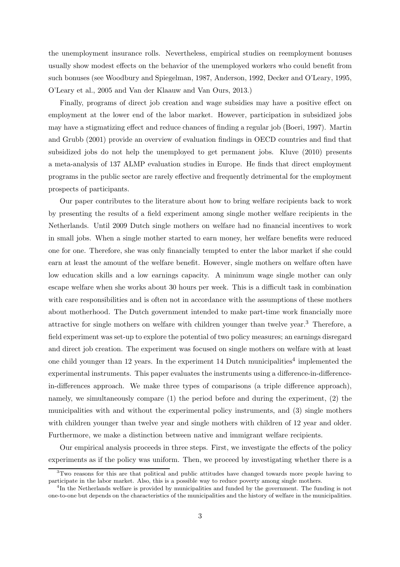the unemployment insurance rolls. Nevertheless, empirical studies on reemployment bonuses usually show modest effects on the behavior of the unemployed workers who could benefit from such bonuses (see Woodbury and Spiegelman, 1987, Anderson, 1992, Decker and O'Leary, 1995, O'Leary et al., 2005 and Van der Klaauw and Van Ours, 2013.)

Finally, programs of direct job creation and wage subsidies may have a positive effect on employment at the lower end of the labor market. However, participation in subsidized jobs may have a stigmatizing effect and reduce chances of finding a regular job (Boeri, 1997). Martin and Grubb (2001) provide an overview of evaluation findings in OECD countries and find that subsidized jobs do not help the unemployed to get permanent jobs. Kluve (2010) presents a meta-analysis of 137 ALMP evaluation studies in Europe. He finds that direct employment programs in the public sector are rarely effective and frequently detrimental for the employment prospects of participants.

Our paper contributes to the literature about how to bring welfare recipients back to work by presenting the results of a field experiment among single mother welfare recipients in the Netherlands. Until 2009 Dutch single mothers on welfare had no financial incentives to work in small jobs. When a single mother started to earn money, her welfare benefits were reduced one for one. Therefore, she was only financially tempted to enter the labor market if she could earn at least the amount of the welfare benefit. However, single mothers on welfare often have low education skills and a low earnings capacity. A minimum wage single mother can only escape welfare when she works about 30 hours per week. This is a difficult task in combination with care responsibilities and is often not in accordance with the assumptions of these mothers about motherhood. The Dutch government intended to make part-time work financially more attractive for single mothers on welfare with children younger than twelve year.<sup>3</sup> Therefore, a field experiment was set-up to explore the potential of two policy measures; an earnings disregard and direct job creation. The experiment was focused on single mothers on welfare with at least one child younger than 12 years. In the experiment 14 Dutch municipalities<sup>4</sup> implemented the experimental instruments. This paper evaluates the instruments using a difference-in-differencein-differences approach. We make three types of comparisons (a triple difference approach), namely, we simultaneously compare (1) the period before and during the experiment, (2) the municipalities with and without the experimental policy instruments, and (3) single mothers with children younger than twelve year and single mothers with children of 12 year and older. Furthermore, we make a distinction between native and immigrant welfare recipients.

Our empirical analysis proceeds in three steps. First, we investigate the effects of the policy experiments as if the policy was uniform. Then, we proceed by investigating whether there is a

<sup>&</sup>lt;sup>3</sup>Two reasons for this are that political and public attitudes have changed towards more people having to participate in the labor market. Also, this is a possible way to reduce poverty among single mothers.

<sup>&</sup>lt;sup>4</sup>In the Netherlands welfare is provided by municipalities and funded by the government. The funding is not one-to-one but depends on the characteristics of the municipalities and the history of welfare in the municipalities.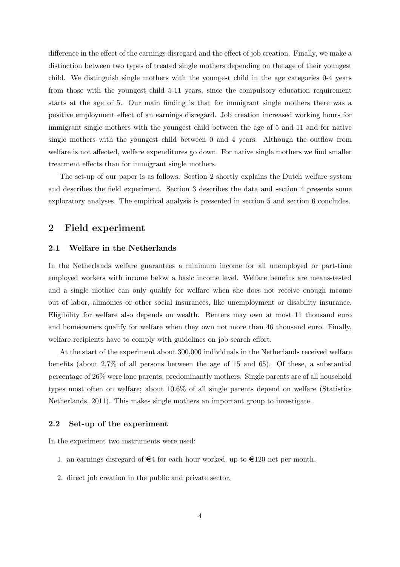difference in the effect of the earnings disregard and the effect of job creation. Finally, we make a distinction between two types of treated single mothers depending on the age of their youngest child. We distinguish single mothers with the youngest child in the age categories 0-4 years from those with the youngest child 5-11 years, since the compulsory education requirement starts at the age of 5. Our main finding is that for immigrant single mothers there was a positive employment effect of an earnings disregard. Job creation increased working hours for immigrant single mothers with the youngest child between the age of 5 and 11 and for native single mothers with the youngest child between 0 and 4 years. Although the outflow from welfare is not affected, welfare expenditures go down. For native single mothers we find smaller treatment effects than for immigrant single mothers.

The set-up of our paper is as follows. Section 2 shortly explains the Dutch welfare system and describes the field experiment. Section 3 describes the data and section 4 presents some exploratory analyses. The empirical analysis is presented in section 5 and section 6 concludes.

### 2 Field experiment

#### 2.1 Welfare in the Netherlands

In the Netherlands welfare guarantees a minimum income for all unemployed or part-time employed workers with income below a basic income level. Welfare benefits are means-tested and a single mother can only qualify for welfare when she does not receive enough income out of labor, alimonies or other social insurances, like unemployment or disability insurance. Eligibility for welfare also depends on wealth. Renters may own at most 11 thousand euro and homeowners qualify for welfare when they own not more than 46 thousand euro. Finally, welfare recipients have to comply with guidelines on job search effort.

At the start of the experiment about 300,000 individuals in the Netherlands received welfare benefits (about 2.7% of all persons between the age of 15 and 65). Of these, a substantial percentage of 26% were lone parents, predominantly mothers. Single parents are of all household types most often on welfare; about 10.6% of all single parents depend on welfare (Statistics Netherlands, 2011). This makes single mothers an important group to investigate.

#### 2.2 Set-up of the experiment

In the experiment two instruments were used:

- 1. an earnings disregard of  $\epsilon$ 4 for each hour worked, up to  $\epsilon$ 120 net per month,
- 2. direct job creation in the public and private sector.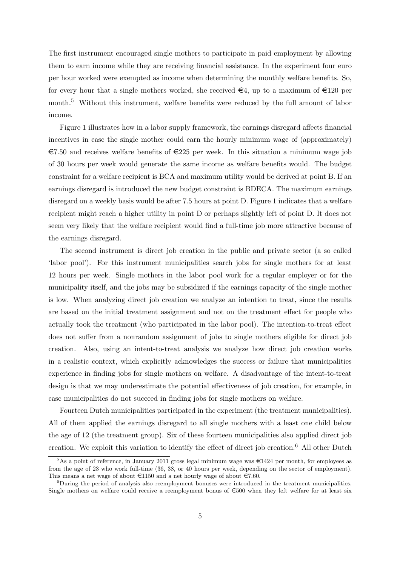The first instrument encouraged single mothers to participate in paid employment by allowing them to earn income while they are receiving financial assistance. In the experiment four euro per hour worked were exempted as income when determining the monthly welfare benefits. So, for every hour that a single mothers worked, she received  $\in 4$ , up to a maximum of  $\in 120$  per month.<sup>5</sup> Without this instrument, welfare benefits were reduced by the full amount of labor income.

Figure 1 illustrates how in a labor supply framework, the earnings disregard affects financial incentives in case the single mother could earn the hourly minimum wage of (approximately)  $\epsilon$ 7.50 and receives welfare benefits of  $\epsilon$ 225 per week. In this situation a minimum wage job of 30 hours per week would generate the same income as welfare benefits would. The budget constraint for a welfare recipient is BCA and maximum utility would be derived at point B. If an earnings disregard is introduced the new budget constraint is BDECA. The maximum earnings disregard on a weekly basis would be after 7.5 hours at point D. Figure 1 indicates that a welfare recipient might reach a higher utility in point D or perhaps slightly left of point D. It does not seem very likely that the welfare recipient would find a full-time job more attractive because of the earnings disregard.

The second instrument is direct job creation in the public and private sector (a so called 'labor pool'). For this instrument municipalities search jobs for single mothers for at least 12 hours per week. Single mothers in the labor pool work for a regular employer or for the municipality itself, and the jobs may be subsidized if the earnings capacity of the single mother is low. When analyzing direct job creation we analyze an intention to treat, since the results are based on the initial treatment assignment and not on the treatment effect for people who actually took the treatment (who participated in the labor pool). The intention-to-treat effect does not suffer from a nonrandom assignment of jobs to single mothers eligible for direct job creation. Also, using an intent-to-treat analysis we analyze how direct job creation works in a realistic context, which explicitly acknowledges the success or failure that municipalities experience in finding jobs for single mothers on welfare. A disadvantage of the intent-to-treat design is that we may underestimate the potential effectiveness of job creation, for example, in case municipalities do not succeed in finding jobs for single mothers on welfare.

Fourteen Dutch municipalities participated in the experiment (the treatment municipalities). All of them applied the earnings disregard to all single mothers with a least one child below the age of 12 (the treatment group). Six of these fourteen municipalities also applied direct job creation. We exploit this variation to identify the effect of direct job creation.<sup>6</sup> All other Dutch

<sup>&</sup>lt;sup>5</sup>As a point of reference, in January 2011 gross legal minimum wage was  $\epsilon$ 1424 per month, for employees as from the age of 23 who work full-time (36, 38, or 40 hours per week, depending on the sector of employment). This means a net wage of about  $\epsilon$ 1150 and a net hourly wage of about  $\epsilon$ 7.60.

<sup>&</sup>lt;sup>6</sup>During the period of analysis also reemployment bonuses were introduced in the treatment municipalities. Single mothers on welfare could receive a reemployment bonus of  $\epsilon$ 500 when they left welfare for at least six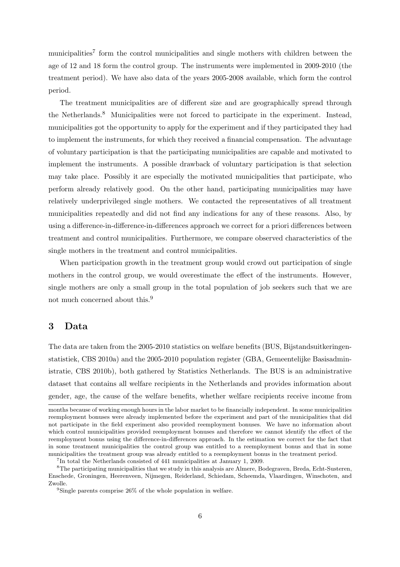municipalities<sup>7</sup> form the control municipalities and single mothers with children between the age of 12 and 18 form the control group. The instruments were implemented in 2009-2010 (the treatment period). We have also data of the years 2005-2008 available, which form the control period.

The treatment municipalities are of different size and are geographically spread through the Netherlands.<sup>8</sup> Municipalities were not forced to participate in the experiment. Instead, municipalities got the opportunity to apply for the experiment and if they participated they had to implement the instruments, for which they received a financial compensation. The advantage of voluntary participation is that the participating municipalities are capable and motivated to implement the instruments. A possible drawback of voluntary participation is that selection may take place. Possibly it are especially the motivated municipalities that participate, who perform already relatively good. On the other hand, participating municipalities may have relatively underprivileged single mothers. We contacted the representatives of all treatment municipalities repeatedly and did not find any indications for any of these reasons. Also, by using a difference-in-difference-in-differences approach we correct for a priori differences between treatment and control municipalities. Furthermore, we compare observed characteristics of the single mothers in the treatment and control municipalities.

When participation growth in the treatment group would crowd out participation of single mothers in the control group, we would overestimate the effect of the instruments. However, single mothers are only a small group in the total population of job seekers such that we are not much concerned about this.<sup>9</sup>

## 3 Data

The data are taken from the 2005-2010 statistics on welfare benefits (BUS, Bijstandsuitkeringenstatistiek, CBS 2010a) and the 2005-2010 population register (GBA, Gemeentelijke Basisadministratie, CBS 2010b), both gathered by Statistics Netherlands. The BUS is an administrative dataset that contains all welfare recipients in the Netherlands and provides information about gender, age, the cause of the welfare benefits, whether welfare recipients receive income from

months because of working enough hours in the labor market to be financially independent. In some municipalities reemployment bonuses were already implemented before the experiment and part of the municipalities that did not participate in the field experiment also provided reemployment bonuses. We have no information about which control municipalities provided reemployment bonuses and therefore we cannot identify the effect of the reemployment bonus using the difference-in-differences approach. In the estimation we correct for the fact that in some treatment municipalities the control group was entitled to a reemployment bonus and that in some municipalities the treatment group was already entitled to a reemployment bonus in the treatment period.

<sup>7</sup> In total the Netherlands consisted of 441 municipalities at January 1, 2009.

<sup>8</sup>The participating municipalities that we study in this analysis are Almere, Bodegraven, Breda, Echt-Susteren, Enschede, Groningen, Heerenveen, Nijmegen, Reiderland, Schiedam, Scheemda, Vlaardingen, Winschoten, and Zwolle.

<sup>&</sup>lt;sup>9</sup>Single parents comprise 26% of the whole population in welfare.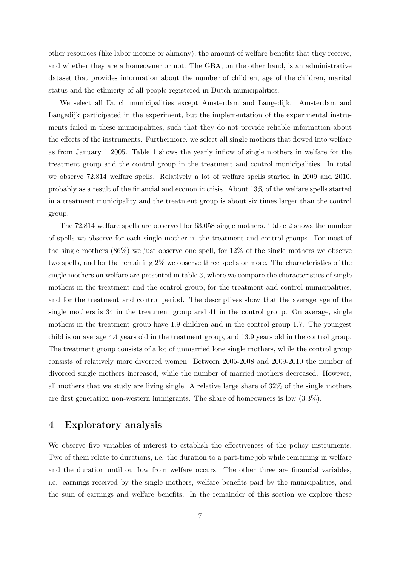other resources (like labor income or alimony), the amount of welfare benefits that they receive, and whether they are a homeowner or not. The GBA, on the other hand, is an administrative dataset that provides information about the number of children, age of the children, marital status and the ethnicity of all people registered in Dutch municipalities.

We select all Dutch municipalities except Amsterdam and Langedijk. Amsterdam and Langedijk participated in the experiment, but the implementation of the experimental instruments failed in these municipalities, such that they do not provide reliable information about the effects of the instruments. Furthermore, we select all single mothers that flowed into welfare as from January 1 2005. Table 1 shows the yearly inflow of single mothers in welfare for the treatment group and the control group in the treatment and control municipalities. In total we observe 72,814 welfare spells. Relatively a lot of welfare spells started in 2009 and 2010, probably as a result of the financial and economic crisis. About 13% of the welfare spells started in a treatment municipality and the treatment group is about six times larger than the control group.

The 72,814 welfare spells are observed for 63,058 single mothers. Table 2 shows the number of spells we observe for each single mother in the treatment and control groups. For most of the single mothers  $(86\%)$  we just observe one spell, for  $12\%$  of the single mothers we observe two spells, and for the remaining 2% we observe three spells or more. The characteristics of the single mothers on welfare are presented in table 3, where we compare the characteristics of single mothers in the treatment and the control group, for the treatment and control municipalities, and for the treatment and control period. The descriptives show that the average age of the single mothers is 34 in the treatment group and 41 in the control group. On average, single mothers in the treatment group have 1.9 children and in the control group 1.7. The youngest child is on average 4.4 years old in the treatment group, and 13.9 years old in the control group. The treatment group consists of a lot of unmarried lone single mothers, while the control group consists of relatively more divorced women. Between 2005-2008 and 2009-2010 the number of divorced single mothers increased, while the number of married mothers decreased. However, all mothers that we study are living single. A relative large share of 32% of the single mothers are first generation non-western immigrants. The share of homeowners is low (3.3%).

## 4 Exploratory analysis

We observe five variables of interest to establish the effectiveness of the policy instruments. Two of them relate to durations, i.e. the duration to a part-time job while remaining in welfare and the duration until outflow from welfare occurs. The other three are financial variables, i.e. earnings received by the single mothers, welfare benefits paid by the municipalities, and the sum of earnings and welfare benefits. In the remainder of this section we explore these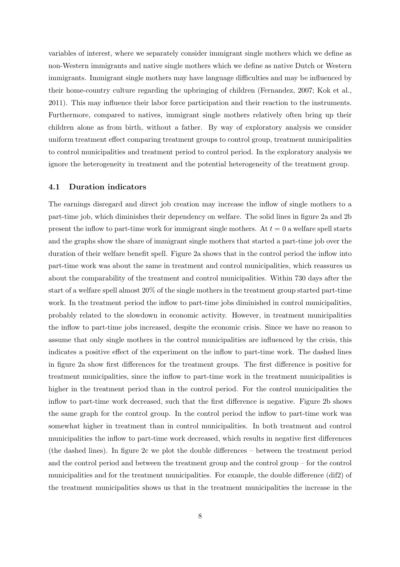variables of interest, where we separately consider immigrant single mothers which we define as non-Western immigrants and native single mothers which we define as native Dutch or Western immigrants. Immigrant single mothers may have language difficulties and may be influenced by their home-country culture regarding the upbringing of children (Fernandez, 2007; Kok et al., 2011). This may influence their labor force participation and their reaction to the instruments. Furthermore, compared to natives, immigrant single mothers relatively often bring up their children alone as from birth, without a father. By way of exploratory analysis we consider uniform treatment effect comparing treatment groups to control group, treatment municipalities to control municipalities and treatment period to control period. In the exploratory analysis we ignore the heterogeneity in treatment and the potential heterogeneity of the treatment group.

#### 4.1 Duration indicators

The earnings disregard and direct job creation may increase the inflow of single mothers to a part-time job, which diminishes their dependency on welfare. The solid lines in figure 2a and 2b present the inflow to part-time work for immigrant single mothers. At  $t = 0$  a welfare spell starts and the graphs show the share of immigrant single mothers that started a part-time job over the duration of their welfare benefit spell. Figure 2a shows that in the control period the inflow into part-time work was about the same in treatment and control municipalities, which reassures us about the comparability of the treatment and control municipalities. Within 730 days after the start of a welfare spell almost 20% of the single mothers in the treatment group started part-time work. In the treatment period the inflow to part-time jobs diminished in control municipalities, probably related to the slowdown in economic activity. However, in treatment municipalities the inflow to part-time jobs increased, despite the economic crisis. Since we have no reason to assume that only single mothers in the control municipalities are influenced by the crisis, this indicates a positive effect of the experiment on the inflow to part-time work. The dashed lines in figure 2a show first differences for the treatment groups. The first difference is positive for treatment municipalities, since the inflow to part-time work in the treatment municipalities is higher in the treatment period than in the control period. For the control municipalities the inflow to part-time work decreased, such that the first difference is negative. Figure 2b shows the same graph for the control group. In the control period the inflow to part-time work was somewhat higher in treatment than in control municipalities. In both treatment and control municipalities the inflow to part-time work decreased, which results in negative first differences (the dashed lines). In figure 2c we plot the double differences – between the treatment period and the control period and between the treatment group and the control group – for the control municipalities and for the treatment municipalities. For example, the double difference (dif2) of the treatment municipalities shows us that in the treatment municipalities the increase in the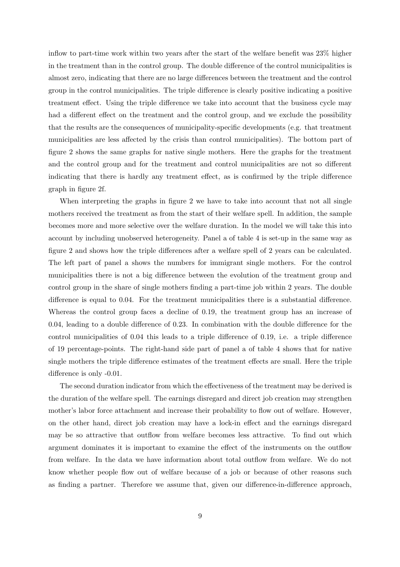inflow to part-time work within two years after the start of the welfare benefit was 23% higher in the treatment than in the control group. The double difference of the control municipalities is almost zero, indicating that there are no large differences between the treatment and the control group in the control municipalities. The triple difference is clearly positive indicating a positive treatment effect. Using the triple difference we take into account that the business cycle may had a different effect on the treatment and the control group, and we exclude the possibility that the results are the consequences of municipality-specific developments (e.g. that treatment municipalities are less affected by the crisis than control municipalities). The bottom part of figure 2 shows the same graphs for native single mothers. Here the graphs for the treatment and the control group and for the treatment and control municipalities are not so different indicating that there is hardly any treatment effect, as is confirmed by the triple difference graph in figure 2f.

When interpreting the graphs in figure 2 we have to take into account that not all single mothers received the treatment as from the start of their welfare spell. In addition, the sample becomes more and more selective over the welfare duration. In the model we will take this into account by including unobserved heterogeneity. Panel a of table 4 is set-up in the same way as figure 2 and shows how the triple differences after a welfare spell of 2 years can be calculated. The left part of panel a shows the numbers for immigrant single mothers. For the control municipalities there is not a big difference between the evolution of the treatment group and control group in the share of single mothers finding a part-time job within 2 years. The double difference is equal to 0.04. For the treatment municipalities there is a substantial difference. Whereas the control group faces a decline of 0.19, the treatment group has an increase of 0.04, leading to a double difference of 0.23. In combination with the double difference for the control municipalities of 0.04 this leads to a triple difference of 0.19, i.e. a triple difference of 19 percentage-points. The right-hand side part of panel a of table 4 shows that for native single mothers the triple difference estimates of the treatment effects are small. Here the triple difference is only -0.01.

The second duration indicator from which the effectiveness of the treatment may be derived is the duration of the welfare spell. The earnings disregard and direct job creation may strengthen mother's labor force attachment and increase their probability to flow out of welfare. However, on the other hand, direct job creation may have a lock-in effect and the earnings disregard may be so attractive that outflow from welfare becomes less attractive. To find out which argument dominates it is important to examine the effect of the instruments on the outflow from welfare. In the data we have information about total outflow from welfare. We do not know whether people flow out of welfare because of a job or because of other reasons such as finding a partner. Therefore we assume that, given our difference-in-difference approach,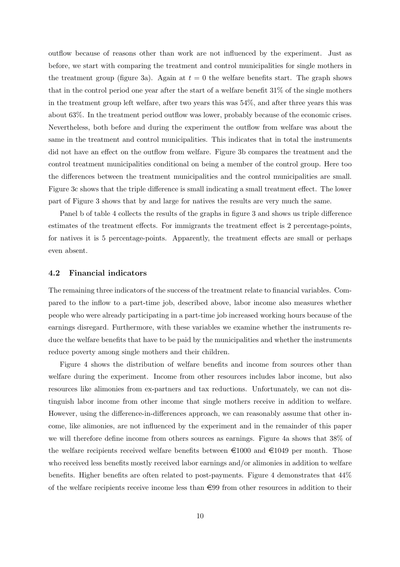outflow because of reasons other than work are not influenced by the experiment. Just as before, we start with comparing the treatment and control municipalities for single mothers in the treatment group (figure 3a). Again at  $t = 0$  the welfare benefits start. The graph shows that in the control period one year after the start of a welfare benefit 31% of the single mothers in the treatment group left welfare, after two years this was 54%, and after three years this was about 63%. In the treatment period outflow was lower, probably because of the economic crises. Nevertheless, both before and during the experiment the outflow from welfare was about the same in the treatment and control municipalities. This indicates that in total the instruments did not have an effect on the outflow from welfare. Figure 3b compares the treatment and the control treatment municipalities conditional on being a member of the control group. Here too the differences between the treatment municipalities and the control municipalities are small. Figure 3c shows that the triple difference is small indicating a small treatment effect. The lower part of Figure 3 shows that by and large for natives the results are very much the same.

Panel b of table 4 collects the results of the graphs in figure 3 and shows us triple difference estimates of the treatment effects. For immigrants the treatment effect is 2 percentage-points, for natives it is 5 percentage-points. Apparently, the treatment effects are small or perhaps even absent.

#### 4.2 Financial indicators

The remaining three indicators of the success of the treatment relate to financial variables. Compared to the inflow to a part-time job, described above, labor income also measures whether people who were already participating in a part-time job increased working hours because of the earnings disregard. Furthermore, with these variables we examine whether the instruments reduce the welfare benefits that have to be paid by the municipalities and whether the instruments reduce poverty among single mothers and their children.

Figure 4 shows the distribution of welfare benefits and income from sources other than welfare during the experiment. Income from other resources includes labor income, but also resources like alimonies from ex-partners and tax reductions. Unfortunately, we can not distinguish labor income from other income that single mothers receive in addition to welfare. However, using the difference-in-differences approach, we can reasonably assume that other income, like alimonies, are not influenced by the experiment and in the remainder of this paper we will therefore define income from others sources as earnings. Figure 4a shows that 38% of the welfare recipients received welfare benefits between  $\epsilon$ 1000 and  $\epsilon$ 1049 per month. Those who received less benefits mostly received labor earnings and/or alimonies in addition to welfare benefits. Higher benefits are often related to post-payments. Figure 4 demonstrates that 44% of the welfare recipients receive income less than  $\in 99$  from other resources in addition to their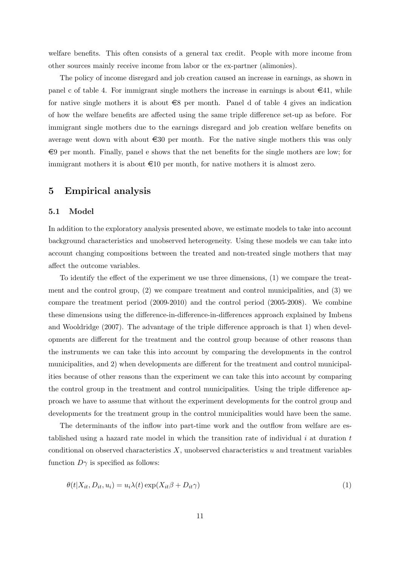welfare benefits. This often consists of a general tax credit. People with more income from other sources mainly receive income from labor or the ex-partner (alimonies).

The policy of income disregard and job creation caused an increase in earnings, as shown in panel c of table 4. For immigrant single mothers the increase in earnings is about  $\in$ 41, while for native single mothers it is about  $\epsilon$ 8 per month. Panel d of table 4 gives an indication of how the welfare benefits are affected using the same triple difference set-up as before. For immigrant single mothers due to the earnings disregard and job creation welfare benefits on average went down with about  $\epsilon$ 30 per month. For the native single mothers this was only  $\epsilon$ 9 per month. Finally, panel e shows that the net benefits for the single mothers are low; for immigrant mothers it is about  $\epsilon 10$  per month, for native mothers it is almost zero.

## 5 Empirical analysis

#### 5.1 Model

In addition to the exploratory analysis presented above, we estimate models to take into account background characteristics and unobserved heterogeneity. Using these models we can take into account changing compositions between the treated and non-treated single mothers that may affect the outcome variables.

To identify the effect of the experiment we use three dimensions, (1) we compare the treatment and the control group, (2) we compare treatment and control municipalities, and (3) we compare the treatment period (2009-2010) and the control period (2005-2008). We combine these dimensions using the difference-in-difference-in-differences approach explained by Imbens and Wooldridge (2007). The advantage of the triple difference approach is that 1) when developments are different for the treatment and the control group because of other reasons than the instruments we can take this into account by comparing the developments in the control municipalities, and 2) when developments are different for the treatment and control municipalities because of other reasons than the experiment we can take this into account by comparing the control group in the treatment and control municipalities. Using the triple difference approach we have to assume that without the experiment developments for the control group and developments for the treatment group in the control municipalities would have been the same.

The determinants of the inflow into part-time work and the outflow from welfare are established using a hazard rate model in which the transition rate of individual  $i$  at duration  $t$ conditional on observed characteristics  $X$ , unobserved characteristics  $u$  and treatment variables function  $D\gamma$  is specified as follows:

$$
\theta(t|X_{it}, D_{it}, u_i) = u_i \lambda(t) \exp(X_{it}\beta + D_{it}\gamma)
$$
\n<sup>(1)</sup>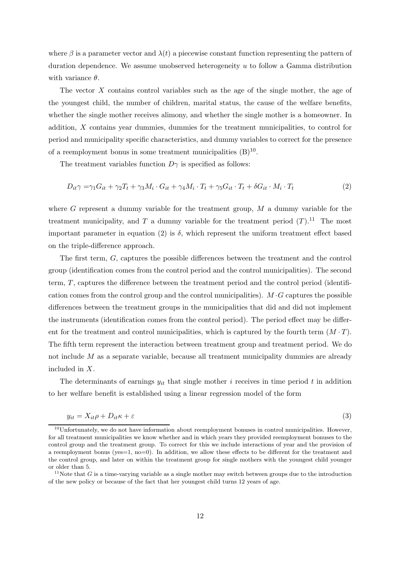where  $\beta$  is a parameter vector and  $\lambda(t)$  a piecewise constant function representing the pattern of duration dependence. We assume unobserved heterogeneity u to follow a Gamma distribution with variance  $\theta$ .

The vector X contains control variables such as the age of the single mother, the age of the youngest child, the number of children, marital status, the cause of the welfare benefits, whether the single mother receives alimony, and whether the single mother is a homeowner. In addition, X contains year dummies, dummies for the treatment municipalities, to control for period and municipality specific characteristics, and dummy variables to correct for the presence of a reemployment bonus in some treatment municipalities  $(B)^{10}$ .

The treatment variables function  $D\gamma$  is specified as follows:

$$
D_{it}\gamma = \gamma_1 G_{it} + \gamma_2 T_t + \gamma_3 M_i \cdot G_{it} + \gamma_4 M_i \cdot T_t + \gamma_5 G_{it} \cdot T_t + \delta G_{it} \cdot M_i \cdot T_t \tag{2}
$$

where  $G$  represent a dummy variable for the treatment group,  $M$  a dummy variable for the treatment municipality, and  $T$  a dummy variable for the treatment period  $(T)$ .<sup>11</sup> The most important parameter in equation (2) is  $\delta$ , which represent the uniform treatment effect based on the triple-difference approach.

The first term, G, captures the possible differences between the treatment and the control group (identification comes from the control period and the control municipalities). The second term, T, captures the difference between the treatment period and the control period (identification comes from the control group and the control municipalities).  $M \cdot G$  captures the possible differences between the treatment groups in the municipalities that did and did not implement the instruments (identification comes from the control period). The period effect may be different for the treatment and control municipalities, which is captured by the fourth term  $(M \cdot T)$ . The fifth term represent the interaction between treatment group and treatment period. We do not include  $M$  as a separate variable, because all treatment municipality dummies are already included in X.

The determinants of earnings  $y_{it}$  that single mother i receives in time period t in addition to her welfare benefit is established using a linear regression model of the form

$$
y_{it} = X_{it}\rho + D_{it}\kappa + \varepsilon \tag{3}
$$

 $10$ Unfortunately, we do not have information about reemployment bonuses in control municipalities. However, for all treatment municipalities we know whether and in which years they provided reemployment bonuses to the control group and the treatment group. To correct for this we include interactions of year and the provision of a reemployment bonus (yes=1, no=0). In addition, we allow these effects to be different for the treatment and the control group, and later on within the treatment group for single mothers with the youngest child younger or older than 5.

 $11$ Note that G is a time-varying variable as a single mother may switch between groups due to the introduction of the new policy or because of the fact that her youngest child turns 12 years of age.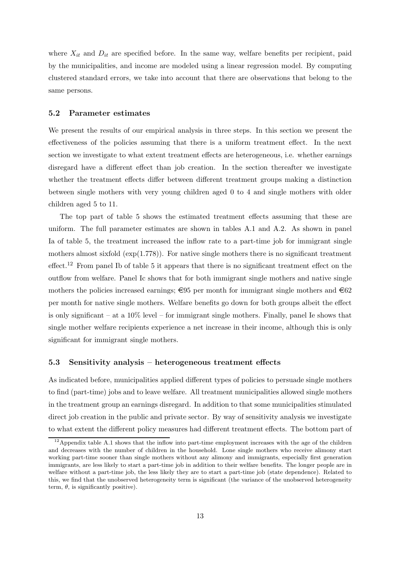where  $X_{it}$  and  $D_{it}$  are specified before. In the same way, welfare benefits per recipient, paid by the municipalities, and income are modeled using a linear regression model. By computing clustered standard errors, we take into account that there are observations that belong to the same persons.

#### 5.2 Parameter estimates

We present the results of our empirical analysis in three steps. In this section we present the effectiveness of the policies assuming that there is a uniform treatment effect. In the next section we investigate to what extent treatment effects are heterogeneous, i.e. whether earnings disregard have a different effect than job creation. In the section thereafter we investigate whether the treatment effects differ between different treatment groups making a distinction between single mothers with very young children aged 0 to 4 and single mothers with older children aged 5 to 11.

The top part of table 5 shows the estimated treatment effects assuming that these are uniform. The full parameter estimates are shown in tables A.1 and A.2. As shown in panel Ia of table 5, the treatment increased the inflow rate to a part-time job for immigrant single mothers almost sixfold  $(exp(1.778))$ . For native single mothers there is no significant treatment effect.<sup>12</sup> From panel Ib of table 5 it appears that there is no significant treatment effect on the outflow from welfare. Panel Ic shows that for both immigrant single mothers and native single mothers the policies increased earnings;  $\epsilon$ 95 per month for immigrant single mothers and  $\epsilon$ 62 per month for native single mothers. Welfare benefits go down for both groups albeit the effect is only significant – at a  $10\%$  level – for immigrant single mothers. Finally, panel Ie shows that single mother welfare recipients experience a net increase in their income, although this is only significant for immigrant single mothers.

#### 5.3 Sensitivity analysis – heterogeneous treatment effects

As indicated before, municipalities applied different types of policies to persuade single mothers to find (part-time) jobs and to leave welfare. All treatment municipalities allowed single mothers in the treatment group an earnings disregard. In addition to that some municipalities stimulated direct job creation in the public and private sector. By way of sensitivity analysis we investigate to what extent the different policy measures had different treatment effects. The bottom part of

<sup>&</sup>lt;sup>12</sup>Appendix table A.1 shows that the inflow into part-time employment increases with the age of the children and decreases with the number of children in the household. Lone single mothers who receive alimony start working part-time sooner than single mothers without any alimony and immigrants, especially first generation immigrants, are less likely to start a part-time job in addition to their welfare benefits. The longer people are in welfare without a part-time job, the less likely they are to start a part-time job (state dependence). Related to this, we find that the unobserved heterogeneity term is significant (the variance of the unobserved heterogeneity term,  $\theta$ , is significantly positive).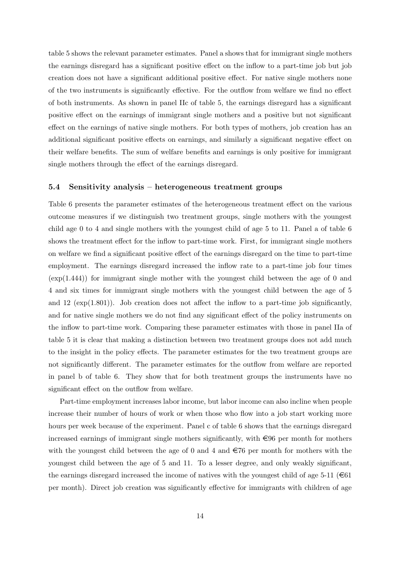table 5 shows the relevant parameter estimates. Panel a shows that for immigrant single mothers the earnings disregard has a significant positive effect on the inflow to a part-time job but job creation does not have a significant additional positive effect. For native single mothers none of the two instruments is significantly effective. For the outflow from welfare we find no effect of both instruments. As shown in panel IIc of table 5, the earnings disregard has a significant positive effect on the earnings of immigrant single mothers and a positive but not significant effect on the earnings of native single mothers. For both types of mothers, job creation has an additional significant positive effects on earnings, and similarly a significant negative effect on their welfare benefits. The sum of welfare benefits and earnings is only positive for immigrant single mothers through the effect of the earnings disregard.

#### 5.4 Sensitivity analysis – heterogeneous treatment groups

Table 6 presents the parameter estimates of the heterogeneous treatment effect on the various outcome measures if we distinguish two treatment groups, single mothers with the youngest child age 0 to 4 and single mothers with the youngest child of age 5 to 11. Panel a of table 6 shows the treatment effect for the inflow to part-time work. First, for immigrant single mothers on welfare we find a significant positive effect of the earnings disregard on the time to part-time employment. The earnings disregard increased the inflow rate to a part-time job four times  $(\exp(1.444))$  for immigrant single mother with the youngest child between the age of 0 and 4 and six times for immigrant single mothers with the youngest child between the age of 5 and 12  $(\exp(1.801))$ . Job creation does not affect the inflow to a part-time job significantly, and for native single mothers we do not find any significant effect of the policy instruments on the inflow to part-time work. Comparing these parameter estimates with those in panel IIa of table 5 it is clear that making a distinction between two treatment groups does not add much to the insight in the policy effects. The parameter estimates for the two treatment groups are not significantly different. The parameter estimates for the outflow from welfare are reported in panel b of table 6. They show that for both treatment groups the instruments have no significant effect on the outflow from welfare.

Part-time employment increases labor income, but labor income can also incline when people increase their number of hours of work or when those who flow into a job start working more hours per week because of the experiment. Panel c of table 6 shows that the earnings disregard increased earnings of immigrant single mothers significantly, with  $\in 96$  per month for mothers with the youngest child between the age of 0 and 4 and  $\epsilon$ 76 per month for mothers with the youngest child between the age of 5 and 11. To a lesser degree, and only weakly significant, the earnings disregard increased the income of natives with the youngest child of age 5-11 ( $\in$ 61) per month). Direct job creation was significantly effective for immigrants with children of age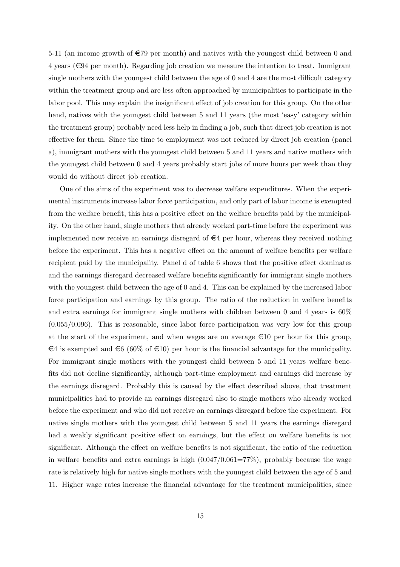5-11 (an income growth of  $\epsilon$ 79 per month) and natives with the youngest child between 0 and  $4$  years ( $\in$ 94 per month). Regarding job creation we measure the intention to treat. Immigrant single mothers with the youngest child between the age of 0 and 4 are the most difficult category within the treatment group and are less often approached by municipalities to participate in the labor pool. This may explain the insignificant effect of job creation for this group. On the other hand, natives with the youngest child between 5 and 11 years (the most 'easy' category within the treatment group) probably need less help in finding a job, such that direct job creation is not effective for them. Since the time to employment was not reduced by direct job creation (panel a), immigrant mothers with the youngest child between 5 and 11 years and native mothers with the youngest child between 0 and 4 years probably start jobs of more hours per week than they would do without direct job creation.

One of the aims of the experiment was to decrease welfare expenditures. When the experimental instruments increase labor force participation, and only part of labor income is exempted from the welfare benefit, this has a positive effect on the welfare benefits paid by the municipality. On the other hand, single mothers that already worked part-time before the experiment was implemented now receive an earnings disregard of  $\in \mathcal{A}$  per hour, whereas they received nothing before the experiment. This has a negative effect on the amount of welfare benefits per welfare recipient paid by the municipality. Panel d of table 6 shows that the positive effect dominates and the earnings disregard decreased welfare benefits significantly for immigrant single mothers with the youngest child between the age of 0 and 4. This can be explained by the increased labor force participation and earnings by this group. The ratio of the reduction in welfare benefits and extra earnings for immigrant single mothers with children between 0 and 4 years is 60%  $(0.055/0.096)$ . This is reasonable, since labor force participation was very low for this group at the start of the experiment, and when wages are on average  $\epsilon 10$  per hour for this group,  $\epsilon$ 4 is exempted and  $\epsilon$ 6 (60% of  $\epsilon$ 10) per hour is the financial advantage for the municipality. For immigrant single mothers with the youngest child between 5 and 11 years welfare benefits did not decline significantly, although part-time employment and earnings did increase by the earnings disregard. Probably this is caused by the effect described above, that treatment municipalities had to provide an earnings disregard also to single mothers who already worked before the experiment and who did not receive an earnings disregard before the experiment. For native single mothers with the youngest child between 5 and 11 years the earnings disregard had a weakly significant positive effect on earnings, but the effect on welfare benefits is not significant. Although the effect on welfare benefits is not significant, the ratio of the reduction in welfare benefits and extra earnings is high  $(0.047/0.061=77\%)$ , probably because the wage rate is relatively high for native single mothers with the youngest child between the age of 5 and 11. Higher wage rates increase the financial advantage for the treatment municipalities, since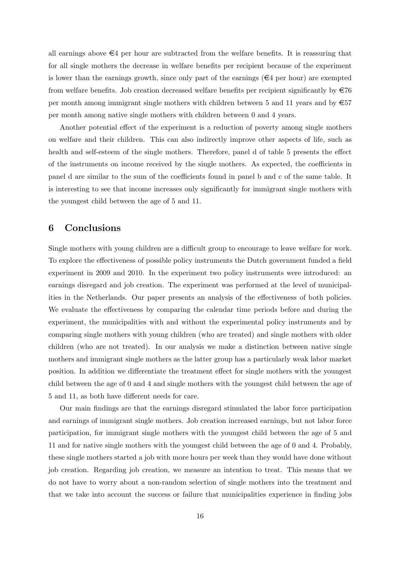all earnings above  $\epsilon$ 4 per hour are subtracted from the welfare benefits. It is reassuring that for all single mothers the decrease in welfare benefits per recipient because of the experiment is lower than the earnings growth, since only part of the earnings  $(\epsilon 4$  per hour) are exempted from welfare benefits. Job creation decreased welfare benefits per recipient significantly by  $\in 76$ per month among immigrant single mothers with children between 5 and 11 years and by  $\epsilon$ 57 per month among native single mothers with children between 0 and 4 years.

Another potential effect of the experiment is a reduction of poverty among single mothers on welfare and their children. This can also indirectly improve other aspects of life, such as health and self-esteem of the single mothers. Therefore, panel d of table 5 presents the effect of the instruments on income received by the single mothers. As expected, the coefficients in panel d are similar to the sum of the coefficients found in panel b and c of the same table. It is interesting to see that income increases only significantly for immigrant single mothers with the youngest child between the age of 5 and 11.

## 6 Conclusions

Single mothers with young children are a difficult group to encourage to leave welfare for work. To explore the effectiveness of possible policy instruments the Dutch government funded a field experiment in 2009 and 2010. In the experiment two policy instruments were introduced: an earnings disregard and job creation. The experiment was performed at the level of municipalities in the Netherlands. Our paper presents an analysis of the effectiveness of both policies. We evaluate the effectiveness by comparing the calendar time periods before and during the experiment, the municipalities with and without the experimental policy instruments and by comparing single mothers with young children (who are treated) and single mothers with older children (who are not treated). In our analysis we make a distinction between native single mothers and immigrant single mothers as the latter group has a particularly weak labor market position. In addition we differentiate the treatment effect for single mothers with the youngest child between the age of 0 and 4 and single mothers with the youngest child between the age of 5 and 11, as both have different needs for care.

Our main findings are that the earnings disregard stimulated the labor force participation and earnings of immigrant single mothers. Job creation increased earnings, but not labor force participation, for immigrant single mothers with the youngest child between the age of 5 and 11 and for native single mothers with the youngest child between the age of 0 and 4. Probably, these single mothers started a job with more hours per week than they would have done without job creation. Regarding job creation, we measure an intention to treat. This means that we do not have to worry about a non-random selection of single mothers into the treatment and that we take into account the success or failure that municipalities experience in finding jobs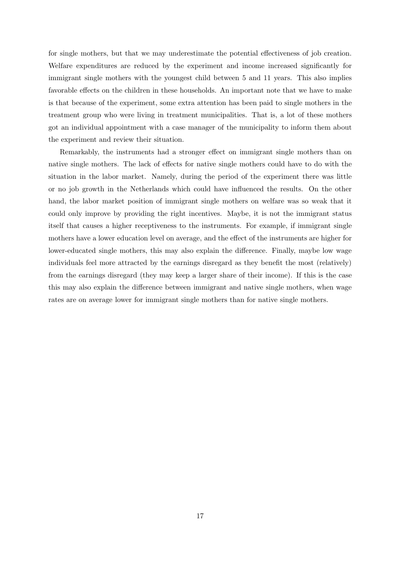for single mothers, but that we may underestimate the potential effectiveness of job creation. Welfare expenditures are reduced by the experiment and income increased significantly for immigrant single mothers with the youngest child between 5 and 11 years. This also implies favorable effects on the children in these households. An important note that we have to make is that because of the experiment, some extra attention has been paid to single mothers in the treatment group who were living in treatment municipalities. That is, a lot of these mothers got an individual appointment with a case manager of the municipality to inform them about the experiment and review their situation.

Remarkably, the instruments had a stronger effect on immigrant single mothers than on native single mothers. The lack of effects for native single mothers could have to do with the situation in the labor market. Namely, during the period of the experiment there was little or no job growth in the Netherlands which could have influenced the results. On the other hand, the labor market position of immigrant single mothers on welfare was so weak that it could only improve by providing the right incentives. Maybe, it is not the immigrant status itself that causes a higher receptiveness to the instruments. For example, if immigrant single mothers have a lower education level on average, and the effect of the instruments are higher for lower-educated single mothers, this may also explain the difference. Finally, maybe low wage individuals feel more attracted by the earnings disregard as they benefit the most (relatively) from the earnings disregard (they may keep a larger share of their income). If this is the case this may also explain the difference between immigrant and native single mothers, when wage rates are on average lower for immigrant single mothers than for native single mothers.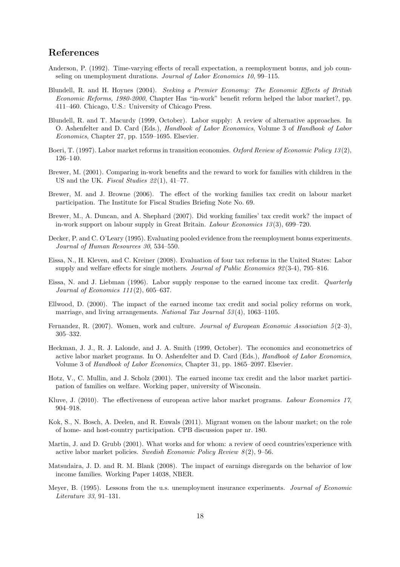## References

- Anderson, P. (1992). Time-varying effects of recall expectation, a reemployment bonus, and job counseling on unemployment durations. Journal of Labor Economics 10, 99–115.
- Blundell, R. and H. Hoynes (2004). Seeking a Premier Economy: The Economic Effects of British Economic Reforms, 1980-2000, Chapter Has "in-work" benefit reform helped the labor market?, pp. 411–460. Chicago, U.S.: University of Chicago Press.
- Blundell, R. and T. Macurdy (1999, October). Labor supply: A review of alternative approaches. In O. Ashenfelter and D. Card (Eds.), Handbook of Labor Economics, Volume 3 of Handbook of Labor Economics, Chapter 27, pp. 1559–1695. Elsevier.
- Boeri, T. (1997). Labor market reforms in transition economies. Oxford Review of Economic Policy 13(2), 126–140.
- Brewer, M. (2001). Comparing in-work benefits and the reward to work for families with children in the US and the UK. Fiscal Studies  $22(1)$ , 41–77.
- Brewer, M. and J. Browne (2006). The effect of the working families tax credit on labour market participation. The Institute for Fiscal Studies Briefing Note No. 69.
- Brewer, M., A. Duncan, and A. Shephard (2007). Did working families' tax credit work? the impact of in-work support on labour supply in Great Britain. Labour Economics 13(3), 699–720.
- Decker, P. and C. O'Leary (1995). Evaluating pooled evidence from the reemployment bonus experiments. Journal of Human Resources 30, 534–550.
- Eissa, N., H. Kleven, and C. Kreiner (2008). Evaluation of four tax reforms in the United States: Labor supply and welfare effects for single mothers. Journal of Public Economics 92(3-4), 795–816.
- Eissa, N. and J. Liebman (1996). Labor supply response to the earned income tax credit. Quarterly Journal of Economics 111(2), 605–637.
- Ellwood, D. (2000). The impact of the earned income tax credit and social policy reforms on work, marriage, and living arrangements. National Tax Journal 53(4), 1063-1105.
- Fernandez, R. (2007). Women, work and culture. Journal of European Economic Association 5(2–3), 305–332.
- Heckman, J. J., R. J. Lalonde, and J. A. Smith (1999, October). The economics and econometrics of active labor market programs. In O. Ashenfelter and D. Card (Eds.), *Handbook of Labor Economics*, Volume 3 of Handbook of Labor Economics, Chapter 31, pp. 1865–2097. Elsevier.
- Hotz, V., C. Mullin, and J. Scholz (2001). The earned income tax credit and the labor market participation of families on welfare. Working paper, university of Wisconsin.
- Kluve, J. (2010). The effectiveness of european active labor market programs. Labour Economics 17, 904–918.
- Kok, S., N. Bosch, A. Deelen, and R. Euwals (2011). Migrant women on the labour market; on the role of home- and host-country participation. CPB discussion paper nr. 180.
- Martin, J. and D. Grubb (2001). What works and for whom: a review of oecd countries'experience with active labor market policies. Swedish Economic Policy Review 8(2), 9–56.
- Matsudaira, J. D. and R. M. Blank (2008). The impact of earnings disregards on the behavior of low income families. Working Paper 14038, NBER.
- Meyer, B. (1995). Lessons from the u.s. unemployment insurance experiments. Journal of Economic Literature 33, 91–131.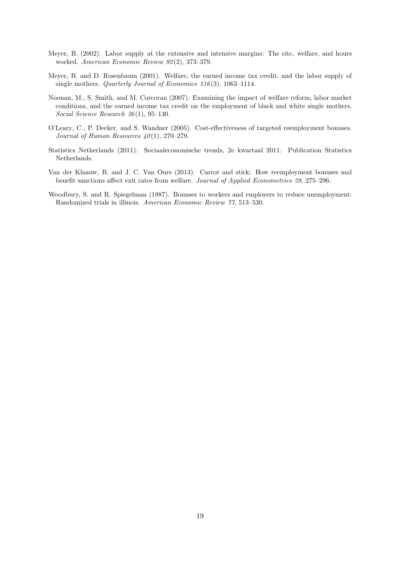- Meyer, B. (2002). Labor supply at the extensive and intensive margins: The eitc, welfare, and hours worked. American Economic Review 92(2), 373–379.
- Meyer, B. and D. Rosenbaum (2001). Welfare, the earned income tax credit, and the labor supply of single mothers. Quarterly Journal of Economics 116(3), 1063–1114.
- Noonan, M., S. Smith, and M. Corcoran (2007). Examining the impact of welfare reform, labor market conditions, and the earned income tax credit on the employment of black and white single mothers. Social Science Research 36(1), 95–130.
- O'Leary, C., P. Decker, and S. Wandner (2005). Cost-effectiveness of targeted reemployment bonuses. Journal of Human Resources  $40(1)$ , 270-279.
- Statistics Netherlands (2011). Sociaaleconomische trends, 2e kwartaal 2011. Publication Statistics Netherlands.
- Van der Klaauw, B. and J. C. Van Ours (2013). Carrot and stick: How reemployment bonuses and benefit sanctions affect exit rates from welfare. Journal of Applied Econometrics 28, 275–296.
- Woodbury, S. and R. Spiegelman (1987). Bonuses to workers and employers to reduce unemployment: Randomized trials in illinois. American Economic Review 77, 513–530.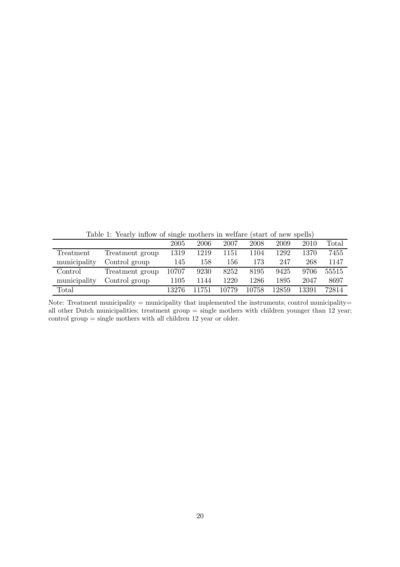Table 1: Yearly inflow of single mothers in welfare (start of new spells)

|              |                 | 2005  | 2006  | 2007  | 2008  | 2009  | 2010  | Total |
|--------------|-----------------|-------|-------|-------|-------|-------|-------|-------|
| Treatment    | Treatment group | 1319  | 1219  | 1151  | 1104  | 1292  | 1370  | 7455  |
| municipality | Control group   | 145   | 158   | 156   | 173   | 247   | 268   | 1147  |
| Control      | Treatment group | 10707 | 9230  | 8252  | 8195  | 9425  | 9706  | 55515 |
| municipality | Control group   | 1105  | 1144  | 1220  | 1286  | 1895  | 2047  | 8697  |
| Total        |                 | 13276 | 11751 | 10779 | 10758 | 12859 | 13391 | 72814 |

Note: Treatment municipality = municipality that implemented the instruments; control municipality= all other Dutch municipalities; treatment group = single mothers with children younger than 12 year; control group = single mothers with all children 12 year or older.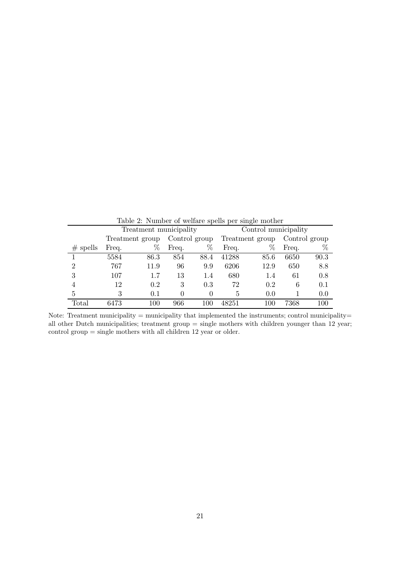|             |       | Treatment municipality |               |      | л.<br>$\check{ }$<br>Control municipality |                 |               |      |  |  |
|-------------|-------|------------------------|---------------|------|-------------------------------------------|-----------------|---------------|------|--|--|
|             |       | Treatment group        | Control group |      |                                           | Treatment group | Control group |      |  |  |
| spells<br># | Freq. | %                      | Freq.         | %    | Freq.                                     | %               | Freq.         | %    |  |  |
|             | 5584  | 86.3                   | 854           | 88.4 | 41288                                     | 85.6            | 6650          | 90.3 |  |  |
| 2           | 767   | 11.9                   | 96            | 9.9  | 6206                                      | 12.9            | 650           | 8.8  |  |  |
| 3           | 107   | 1.7                    | 13            | 1.4  | 680                                       | 1.4             | 61            | 0.8  |  |  |
| 4           | 12    | 0.2                    | 3             | 0.3  | 72                                        | 0.2             | 6             | 0.1  |  |  |
| 5           | 3     | 0.1                    | 0             | 0    | 5                                         | 0.0             |               | 0.0  |  |  |
| Total       | 6473  | 100                    | 966           | 100  | 48251                                     | 100             | 7368          | 100  |  |  |

Table 2: Number of welfare spells per single mother

Note: Treatment municipality = municipality that implemented the instruments; control municipality= all other Dutch municipalities; treatment group = single mothers with children younger than 12 year; control group = single mothers with all children 12 year or older.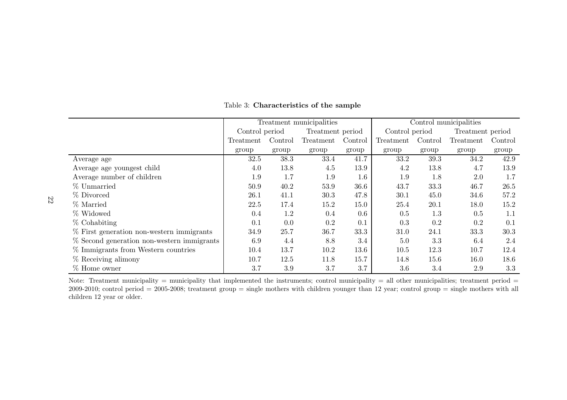|                                              |                | Treatment municipalities | Control municipalities |         |                |         |                  |         |
|----------------------------------------------|----------------|--------------------------|------------------------|---------|----------------|---------|------------------|---------|
|                                              | Control period |                          | Treatment period       |         | Control period |         | Treatment period |         |
|                                              | Treatment      | Control                  | Treatment              | Control | Treatment      | Control | Treatment        | Control |
|                                              | group          | group                    | group                  | group   | group          | group   | group            | group   |
| Average age                                  | 32.5           | 38.3                     | 33.4                   | 41.7    | 33.2           | 39.3    | 34.2             | 42.9    |
| Average age youngest child                   | 4.0            | 13.8                     | 4.5                    | 13.9    | 4.2            | 13.8    | 4.7              | 13.9    |
| Average number of children                   | 1.9            | 1.7                      | 1.9                    | 1.6     | 1.9            | 1.8     | 2.0              | 1.7     |
| % Unmarried                                  | 50.9           | 40.2                     | 53.9                   | 36.6    | 43.7           | 33.3    | 46.7             | 26.5    |
| % Divorced                                   | 26.1           | 41.1                     | 30.3                   | 47.8    | 30.1           | 45.0    | 34.6             | 57.2    |
| % Married                                    | 22.5           | 17.4                     | 15.2                   | 15.0    | 25.4           | 20.1    | 18.0             | 15.2    |
| % Widowed                                    | 0.4            | 1.2                      | 0.4                    | 0.6     | 0.5            | 1.3     | 0.5              | 1.1     |
| $%$ Cohabiting                               | 0.1            | 0.0                      | 0.2                    | 0.1     | 0.3            | 0.2     | 0.2              | 0.1     |
| $\%$ First generation non-western immigrants | 34.9           | 25.7                     | 36.7                   | 33.3    | 31.0           | 24.1    | 33.3             | 30.3    |
| % Second generation non-western immigrants   | 6.9            | 4.4                      | 8.8                    | 3.4     | 5.0            | 3.3     | 6.4              | 2.4     |
| % Immigrants from Western countries          | 10.4           | 13.7                     | 10.2                   | 13.6    | 10.5           | 12.3    | 10.7             | 12.4    |
| $%$ Receiving alimony                        | 10.7           | 12.5                     | 11.8                   | 15.7    | 14.8           | 15.6    | 16.0             | 18.6    |
| $%$ Home owner                               | 3.7            | 3.9                      | 3.7                    | 3.7     | 3.6            | 3.4     | 2.9              | 3.3     |

Table 3: Characteristics of the sample

Note: Treatment municipality = municipality that implemented the instruments; control municipality = all other municipalities; treatment period =  $2009$ - $2010$ ; control period =  $2005$ - $2008$ ; treatment group = single mothers with children younger than 12 year; control group = single mothers with all children <sup>12</sup> year or older.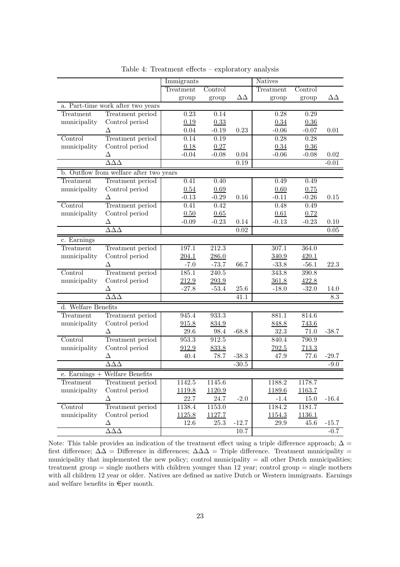|                     |                                         | Immigrants |                   |                   | <b>Natives</b> |         |                |
|---------------------|-----------------------------------------|------------|-------------------|-------------------|----------------|---------|----------------|
|                     |                                         | Treatment  | Control           |                   | Treatment      | Control |                |
|                     |                                         | group      | group             | $\Delta\Delta$    | group          | group   | $\Delta\Delta$ |
|                     | a. Part-time work after two years       |            |                   |                   |                |         |                |
| Treatment           | Treatment period                        | 0.23       | 0.14              |                   | 0.28           | 0.29    |                |
| municipality        | Control period                          | 0.19       | 0.33              |                   | 0.34           | 0.36    |                |
|                     | Δ                                       | $0.04\,$   | $-0.19$           | 0.23              | $-0.06$        | $-0.07$ | 0.01           |
| Control             | Treatment period                        | 0.14       | 0.19              |                   | 0.28           | 0.28    |                |
| municipality        | Control period                          | 0.18       | 0.27              |                   | 0.34           | 0.36    |                |
|                     | Δ                                       | $-0.04$    | $-0.08$           | $0.04\,$          | $-0.06$        | $-0.08$ | 0.02           |
|                     | $\Delta\Delta\Delta$                    |            |                   | 0.19              |                |         | $-0.01$        |
|                     | b. Outflow from welfare after two years |            |                   |                   |                |         |                |
| Treatment           | Treatment period                        | 0.41       | 0.40              |                   | 0.49           | 0.49    |                |
| municipality        | Control period                          | 0.54       | 0.69              |                   | 0.60           | 0.75    |                |
|                     | Δ                                       | $-0.13$    | $-0.29$           | 0.16              | $-0.11$        | $-0.26$ | 0.15           |
| Control             | Treatment period                        | 0.41       | $\overline{0.42}$ |                   | 0.48           | 0.49    |                |
| municipality        | Control period                          | 0.50       | 0.65              |                   | 0.61           | 0.72    |                |
|                     | Δ                                       | $-0.09$    | $-0.23$           | 0.14              | $-0.13$        | $-0.23$ | 0.10           |
|                     | $\Delta\Delta\Delta$                    |            |                   | $\overline{0.02}$ |                |         | 0.05           |
| c. Earnings         |                                         |            |                   |                   |                |         |                |
| Treatment           | Treatment period                        | 197.1      | 212.3             |                   | 307.1          | 364.0   |                |
| municipality        | Control period                          | 204.1      | 286.0             |                   | 340.9          | 420.1   |                |
|                     | Δ                                       | $-7.0$     | $-73.7$           | 66.7              | $-33.8$        | $-56.1$ | 22.3           |
| Control             | Treatment period                        | 185.1      | $240.5\,$         |                   | 343.8          | 390.8   |                |
| municipality        | Control period                          | 212.9      | 293.9             |                   | 361.8          | 422.8   |                |
|                     | Δ                                       | $-27.8$    | $-53.4$           | $25.6\,$          | $-18.0$        | $-32.0$ | 14.0           |
|                     | $\Delta \Delta \Delta$                  |            |                   | 41.1              |                |         | 8.3            |
| d. Welfare Benefits |                                         |            |                   |                   |                |         |                |
| Treatment           | Treatment period                        | 945.4      | 933.3             |                   | 881.1          | 814.6   |                |
| municipality        | Control period                          | 915.8      | 834.9             |                   | 848.8          | 743.6   |                |
|                     | Δ                                       | $29.6\,$   | 98.4              | $-68.8$           | $32.3\,$       | 71.0    | $-38.7$        |
| Control             | Treatment period                        | 953.3      | 912.5             |                   | 840.4          | 790.9   |                |
| municipality        | Control period                          | 912.9      | 833.8             |                   | 792.5          | 713.3   |                |
|                     | Δ                                       | 40.4       | 78.7              | $-38.3$           | 47.9           | 77.6    | $-29.7$        |
|                     | $\Delta\Delta\Delta$                    |            |                   | $-30.5$           |                |         | $-9.0$         |
|                     | $e.$ Earnings + Welfare Benefits        |            |                   |                   |                |         |                |
| Treatment           | Treatment period                        | 1142.5     | 1145.6            |                   | 1188.2         | 1178.7  |                |
| municipality        | Control period                          | 1119.8     | 1120.9            |                   | 1189.6         | 1163.7  |                |
|                     | Δ                                       | 22.7       | 24.7              | $-2.0$            | $-1.4$         | 15.0    | $-16.4$        |
| Control             | Treatment period                        | 1138.4     | 1153.0            |                   | 1184.2         | 1181.7  |                |
| municipality        | Control period                          | 1125.8     | 1127.7            |                   | 1154.3         | 1136.1  |                |
|                     | Δ                                       | 12.6       | 25.3              | $-12.7$           | 29.9           | 45.6    | $-15.7$        |
|                     | $\Delta\Delta\Delta$                    |            |                   | $10.7\,$          |                |         | $-0.7$         |

Table 4: Treatment effects – exploratory analysis

Note: This table provides an indication of the treatment effect using a triple difference approach;  $\Delta =$ first difference;  $\Delta\Delta =$  Difference in differences;  $\Delta\Delta\Delta =$  Triple difference. Treatment municipality = municipality that implemented the new policy; control municipality = all other Dutch municipalities; treatment group = single mothers with children younger than 12 year; control group = single mothers with all children 12 year or older. Natives are defined as native Dutch or Western immigrants. Earnings and welfare benefits in  $\infty$  month.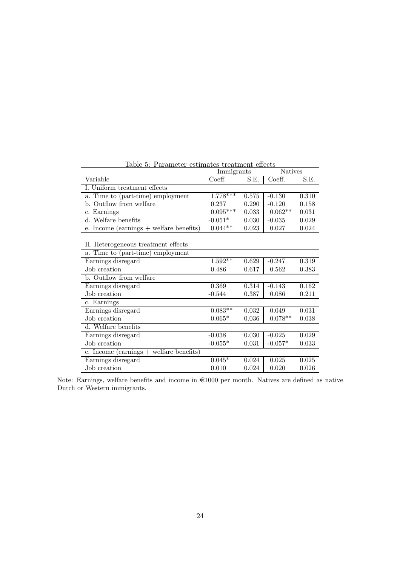|                                           | Immigrants |       | Natives   |       |
|-------------------------------------------|------------|-------|-----------|-------|
| Variable                                  | Coeff.     | S.E.  | Coeff.    | S.E.  |
| I. Uniform treatment effects              |            |       |           |       |
| a. Time to (part-time) employment         | $1.778***$ | 0.575 | $-0.130$  | 0.310 |
| b. Outflow from welfare                   | 0.237      | 0.290 | $-0.120$  | 0.158 |
| c. Earnings                               | $0.095***$ | 0.033 | $0.062**$ | 0.031 |
| d. Welfare benefits                       | $-0.051*$  | 0.030 | $-0.035$  | 0.029 |
| e. Income (earnings $+$ welfare benefits) | $0.044**$  | 0.023 | 0.027     | 0.024 |
|                                           |            |       |           |       |
| II. Heterogeneous treatment effects       |            |       |           |       |
| a. Time to (part-time) employment         |            |       |           |       |
| Earnings disregard                        | $1.592**$  | 0.629 | $-0.247$  | 0.319 |
| Job creation                              | 0.486      | 0.617 | 0.562     | 0.383 |
| b. Outflow from welfare                   |            |       |           |       |
| Earnings disregard                        | 0.369      | 0.314 | $-0.143$  | 0.162 |
| Job creation                              | $-0.544$   | 0.387 | 0.086     | 0.211 |
| c. Earnings                               |            |       |           |       |
| Earnings disregard                        | $0.083**$  | 0.032 | 0.049     | 0.031 |
| Job creation                              | $0.065*$   | 0.036 | $0.078**$ | 0.038 |
| d. Welfare benefits                       |            |       |           |       |
| Earnings disregard                        | $-0.038$   | 0.030 | $-0.025$  | 0.029 |
| Job creation                              | $-0.055*$  | 0.031 | $-0.057*$ | 0.033 |
| e. Income (earnings $+$ welfare benefits) |            |       |           |       |
| Earnings disregard                        | $0.045*$   | 0.024 | 0.025     | 0.025 |
| Job creation                              | 0.010      | 0.024 | 0.020     | 0.026 |

Table 5: Parameter estimates treatment effects

Note: Earnings, welfare benefits and income in  $\epsilon$ 1000 per month. Natives are defined as native Dutch or Western immigrants.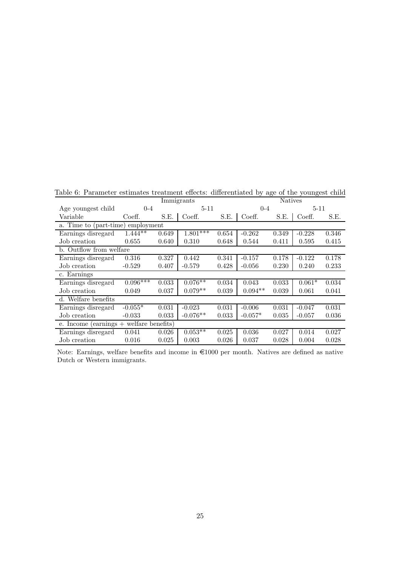|                                           |            | Immigrants | <b>Natives</b> |       |           |       |          |       |
|-------------------------------------------|------------|------------|----------------|-------|-----------|-------|----------|-------|
| Age youngest child                        | $0 - 4$    |            | $5 - 11$       |       | $0 - 4$   |       | $5 - 11$ |       |
| Variable                                  | Coeff.     | S.E.       | Coeff.         | S.E.  | Coeff.    | S.E.  | Coeff.   | S.E.  |
| a. Time to (part-time)                    | employment |            |                |       |           |       |          |       |
| Earnings disregard                        | $1.444***$ | 0.649      | $1.801***$     | 0.654 | $-0.262$  | 0.349 | $-0.228$ | 0.346 |
| Job creation                              | 0.655      | 0.640      | 0.310          | 0.648 | 0.544     | 0.411 | 0.595    | 0.415 |
| b. Outflow from welfare                   |            |            |                |       |           |       |          |       |
| Earnings disregard                        | 0.316      | 0.327      | 0.442          | 0.341 | $-0.157$  | 0.178 | $-0.122$ | 0.178 |
| Job creation                              | $-0.529$   | 0.407      | $-0.579$       | 0.428 | $-0.056$  | 0.230 | 0.240    | 0.233 |
| c. Earnings                               |            |            |                |       |           |       |          |       |
| Earnings disregard                        | $0.096***$ | 0.033      | $0.076**$      | 0.034 | 0.043     | 0.033 | $0.061*$ | 0.034 |
| Job creation                              | 0.049      | 0.037      | $0.079**$      | 0.039 | $0.094**$ | 0.039 | 0.061    | 0.041 |
| $\overline{d}$ . Welfare benefits         |            |            |                |       |           |       |          |       |
| Earnings disregard                        | $-0.055*$  | 0.031      | $-0.023$       | 0.031 | $-0.006$  | 0.031 | $-0.047$ | 0.031 |
| Job creation                              | $-0.033$   | 0.033      | $-0.076**$     | 0.033 | $-0.057*$ | 0.035 | $-0.057$ | 0.036 |
| e. Income $(earnings + wellare benefits)$ |            |            |                |       |           |       |          |       |
| Earnings disregard                        | 0.041      | 0.026      | $0.053**$      | 0.025 | 0.036     | 0.027 | 0.014    | 0.027 |
| Job creation                              | 0.016      | 0.025      | 0.003          | 0.026 | 0.037     | 0.028 | 0.004    | 0.028 |

Table 6: Parameter estimates treatment effects: differentiated by age of the youngest child

Note: Earnings, welfare benefits and income in  $\epsilon$ 1000 per month. Natives are defined as native Dutch or Western immigrants.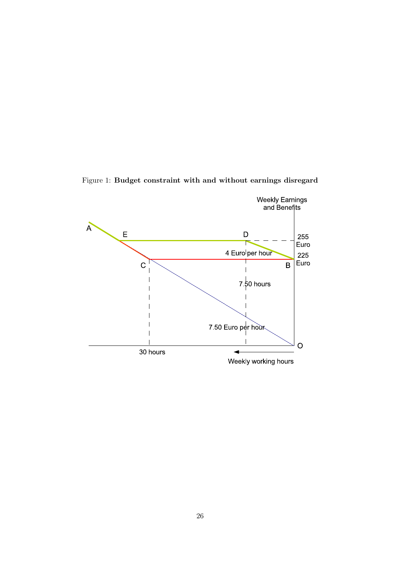

Figure 1: Budget constraint with and without earnings disregard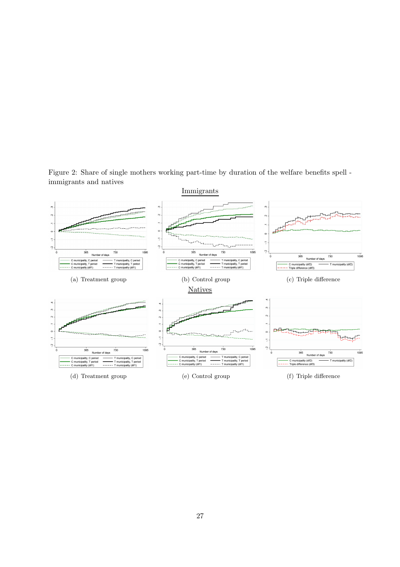Figure 2: Share of single mothers working part-time by duration of the welfare benefits spell immigrants and natives

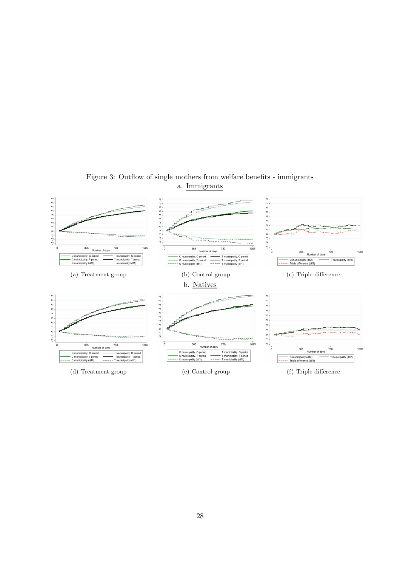

Figure 3: Outflow of single mothers from welfare benefits - immigrants a. Immigrants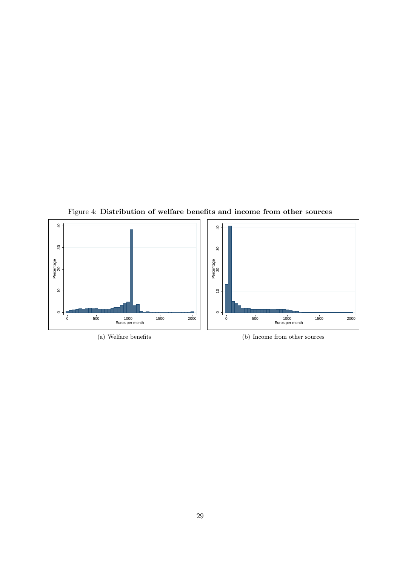

Figure 4: Distribution of welfare benefits and income from other sources

(a) Welfare benefits

(b) Income from other sources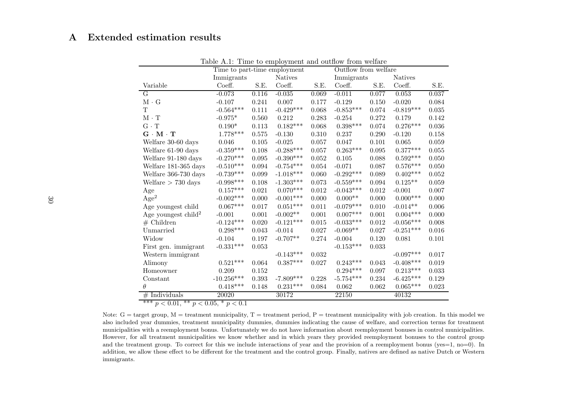## <sup>A</sup> Extended estimation results

|                                              | Time to part-time employment      |           |                       |       |                        |                | Outflow from welfare   |       |  |  |  |  |
|----------------------------------------------|-----------------------------------|-----------|-----------------------|-------|------------------------|----------------|------------------------|-------|--|--|--|--|
|                                              | Immigrants                        |           | <b>Natives</b>        |       | Immigrants             | <b>Natives</b> |                        |       |  |  |  |  |
| Variable                                     | Coeff.                            | S.E.      | Coeff.                | S.E.  | Coeff.                 | S.E.           | Coeff.                 | S.E.  |  |  |  |  |
| $\overline{G}$                               | $-0.073$                          | 0.116     | $-0.035$              | 0.069 | $-0.011$               | 0.077          | 0.053                  | 0.037 |  |  |  |  |
| $M \cdot G$                                  | $-0.107$                          | 0.241     | 0.007                 | 0.177 | $-0.129$               | 0.150          | $-0.020$               | 0.084 |  |  |  |  |
| $\mathbf T$                                  | $-0.564***$                       | 0.111     | $-0.429***$           | 0.068 | $-0.853***$            | 0.074          | $-0.819***$            | 0.035 |  |  |  |  |
| $\mathbf{M} \cdot \mathbf{T}$                | $-0.975*$                         | 0.560     | 0.212                 | 0.283 | $-0.254$               | 0.272          | 0.179                  | 0.142 |  |  |  |  |
| $G \cdot T$                                  | $0.190*$                          | $0.113\,$ | $0.182***$            | 0.068 | $0.398^{\ast\ast\ast}$ | 0.074          | $0.276***$             | 0.036 |  |  |  |  |
| $G \cdot M \cdot T$                          | $1.778***$                        | 0.575     | $-0.130$              | 0.310 | 0.237                  | 0.290          | $-0.120$               | 0.158 |  |  |  |  |
| Welfare 30-60 days                           | 0.046                             | 0.105     | $-0.025$              | 0.057 | 0.047                  | 0.101          | 0.065                  | 0.059 |  |  |  |  |
| Welfare 61-90 days                           | $-0.359***$                       | 0.108     | $-0.288***$           | 0.057 | $0.263***$             | 0.095          | $0.377***$             | 0.055 |  |  |  |  |
| Welfare 91-180 days                          | $-0.270***$                       | 0.095     | $-0.390***$           | 0.052 | 0.105                  | 0.088          | $0.592***$             | 0.050 |  |  |  |  |
| Welfare 181-365 days                         | $-0.510***$                       | 0.094     | $-0.754***$           | 0.054 | $-0.071$               | 0.087          | $0.576^{\ast\ast\ast}$ | 0.050 |  |  |  |  |
| Welfare 366-730 days                         | $-0.739***$                       | 0.099     | $-1.018***$           | 0.060 | $-0.292***$            | 0.089          | $0.402***$             | 0.052 |  |  |  |  |
| Welfare $> 730$ days                         | $-0.998***$                       | 0.108     | $\text{-}1.303^{***}$ | 0.073 | $-0.559***$            | 0.094          | $0.125**$              | 0.059 |  |  |  |  |
| Age                                          | $0.157***$                        | 0.021     | $0.070***$            | 0.012 | $-0.043***$            | 0.012          | $-0.001$               | 0.007 |  |  |  |  |
| Age <sup>2</sup>                             | $-0.002***$                       | 0.000     | $-0.001^{***}\,$      | 0.000 | $0.000**$              | 0.000          | $0.000***$             | 0.000 |  |  |  |  |
| Age youngest child                           | $0.067***$                        | 0.017     | $0.051^{***}\,$       | 0.011 | $-0.079***$            | 0.010          | $-0.014**$             | 0.006 |  |  |  |  |
| Age youngest child <sup>2</sup>              | $-0.001$                          | 0.001     | $-0.002**$            | 0.001 | $0.007***$             | 0.001          | $0.004***$             | 0.000 |  |  |  |  |
| $#$ Children                                 | $-0.124***$                       | 0.020     | $-0.121***$           | 0.015 | $-0.033***$            | 0.012          | $-0.056***$            | 0.008 |  |  |  |  |
| Unmarried                                    | $0.298***$                        | 0.043     | $-0.014$              | 0.027 | $-0.069**$             | 0.027          | $-0.251***$            | 0.016 |  |  |  |  |
| Widow                                        | $-0.104$                          | 0.197     | $-0.707**$            | 0.274 | $-0.004$               | 0.120          | 0.081                  | 0.101 |  |  |  |  |
| First gen. immigrant                         | $-0.331***$                       | 0.053     |                       |       | $-0.153***$            | 0.033          |                        |       |  |  |  |  |
| Western immigrant                            |                                   |           | $-0.143***$           | 0.032 |                        |                | $-0.097***$            | 0.017 |  |  |  |  |
| Alimony                                      | $0.521***$                        | 0.064     | $0.387***$            | 0.027 | $0.243***$             | 0.043          | $-0.408***$            | 0.019 |  |  |  |  |
| Homeowner                                    | 0.209                             | 0.152     |                       |       | $0.294***$             | 0.097          | $0.213^{***}\,$        | 0.033 |  |  |  |  |
| Constant                                     | $\textbf{-10.256}^{\textbf{***}}$ | 0.393     | $-7.809***$           | 0.228 | $-5.754***$            | 0.234          | $-6.425***$            | 0.129 |  |  |  |  |
| $\theta$                                     | $0.418***$                        | 0.148     | $0.231***$            | 0.084 | 0.062                  | 0.062          | $0.065***$             | 0.023 |  |  |  |  |
| $#$ Individuals                              | 20020                             |           | 30172                 |       | 22150                  |                | 40132                  |       |  |  |  |  |
| *** $p < 0.01$ , ** $p < 0.05$ , * $p < 0.1$ |                                   |           |                       |       |                        |                |                        |       |  |  |  |  |

Table A.1: Time to employment and outflow from welfare

Note:  $G = \text{target group}, M = \text{treatment municipality}, T = \text{treatment period}, P = \text{treatment municipality with job creation}.$  In this model we also included year dummies, treatment municipality dummies, dummies indicating the cause of welfare, and correction terms for treatment municipalities with <sup>a</sup> reemployment bonus. Unfortunately we do not have information about reemployment bonuses in control municipalities. However, for all treatment municipalities we know whether and in which years they provided reemployment bonuses to the control group and the treatment group. To correct for this we include interactions of year and the provision of <sup>a</sup> reemployment bonus (yes=1, no=0). In addition, we allow these effect to be different for the treatment and the control group. Finally, natives are defined as native Dutch or Westernimmigrants.